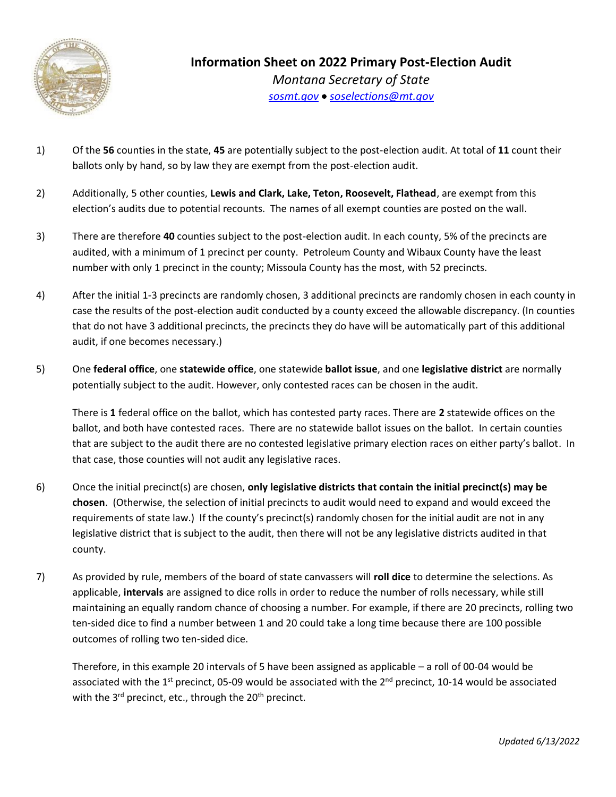

- 1) Of the **56** counties in the state, **45** are potentially subject to the post-election audit. At total of **11** count their ballots only by hand, so by law they are exempt from the post-election audit.
- 2) Additionally, 5 other counties, **Lewis and Clark, Lake, Teton, Roosevelt, Flathead**, are exempt from this election's audits due to potential recounts. The names of all exempt counties are posted on the wall.
- 3) There are therefore **40** counties subject to the post-election audit. In each county, 5% of the precincts are audited, with a minimum of 1 precinct per county. Petroleum County and Wibaux County have the least number with only 1 precinct in the county; Missoula County has the most, with 52 precincts.
- 4) After the initial 1-3 precincts are randomly chosen, 3 additional precincts are randomly chosen in each county in case the results of the post-election audit conducted by a county exceed the allowable discrepancy. (In counties that do not have 3 additional precincts, the precincts they do have will be automatically part of this additional audit, if one becomes necessary.)
- 5) One **federal office**, one **statewide office**, one statewide **ballot issue**, and one **legislative district** are normally potentially subject to the audit. However, only contested races can be chosen in the audit.

There is **1** federal office on the ballot, which has contested party races. There are **2** statewide offices on the ballot, and both have contested races. There are no statewide ballot issues on the ballot. In certain counties that are subject to the audit there are no contested legislative primary election races on either party's ballot. In that case, those counties will not audit any legislative races.

- 6) Once the initial precinct(s) are chosen, **only legislative districts that contain the initial precinct(s) may be chosen**. (Otherwise, the selection of initial precincts to audit would need to expand and would exceed the requirements of state law.) If the county's precinct(s) randomly chosen for the initial audit are not in any legislative district that is subject to the audit, then there will not be any legislative districts audited in that county.
- 7) As provided by rule, members of the board of state canvassers will **roll dice** to determine the selections. As applicable, **intervals** are assigned to dice rolls in order to reduce the number of rolls necessary, while still maintaining an equally random chance of choosing a number. For example, if there are 20 precincts, rolling two ten-sided dice to find a number between 1 and 20 could take a long time because there are 100 possible outcomes of rolling two ten-sided dice.

Therefore, in this example 20 intervals of 5 have been assigned as applicable – a roll of 00-04 would be associated with the 1<sup>st</sup> precinct, 05-09 would be associated with the  $2^{nd}$  precinct, 10-14 would be associated with the 3<sup>rd</sup> precinct, etc., through the 20<sup>th</sup> precinct.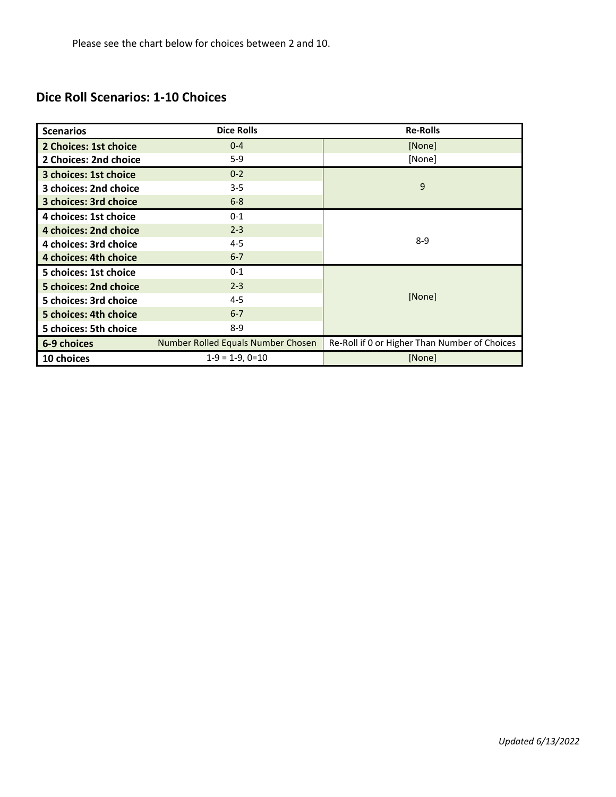# **Dice Roll Scenarios: 1-10 Choices**

| <b>Scenarios</b>                                  | <b>Dice Rolls</b> | <b>Re-Rolls</b>                               |  |
|---------------------------------------------------|-------------------|-----------------------------------------------|--|
| 2 Choices: 1st choice                             | $0 - 4$           | [None]                                        |  |
| $5-9$<br>2 Choices: 2nd choice                    |                   | [None]                                        |  |
| 3 choices: 1st choice                             | $0 - 2$           | 9                                             |  |
| 3 choices: 2nd choice                             | $3 - 5$           |                                               |  |
| 3 choices: 3rd choice                             | $6 - 8$           |                                               |  |
| 4 choices: 1st choice                             | $0 - 1$           |                                               |  |
| 4 choices: 2nd choice                             | $2 - 3$           |                                               |  |
| 4 choices: 3rd choice                             | $4 - 5$           | $8 - 9$                                       |  |
| 4 choices: 4th choice                             | $6 - 7$           |                                               |  |
| 5 choices: 1st choice                             | $0 - 1$           | [None]                                        |  |
| 5 choices: 2nd choice                             | $2 - 3$           |                                               |  |
| 5 choices: 3rd choice                             | $4 - 5$           |                                               |  |
| 5 choices: 4th choice                             | $6 - 7$           |                                               |  |
| 5 choices: 5th choice                             | $8-9$             |                                               |  |
| Number Rolled Equals Number Chosen<br>6-9 choices |                   | Re-Roll if 0 or Higher Than Number of Choices |  |
| $1-9 = 1-9, 0=10$<br>10 choices                   |                   | [None]                                        |  |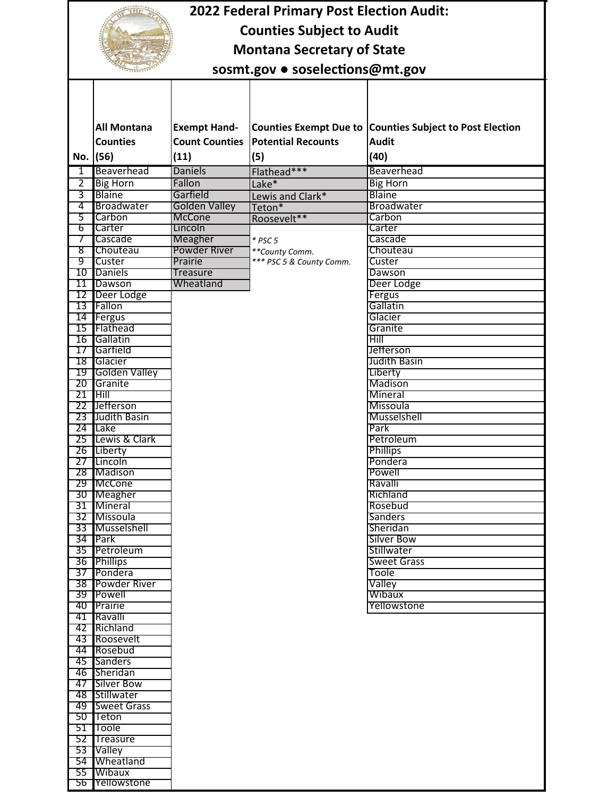|                | <b>2022 Federal Primary Post Election Audit:</b> |                          |                           |                                                          |  |  |
|----------------|--------------------------------------------------|--------------------------|---------------------------|----------------------------------------------------------|--|--|
|                | <b>Counties Subject to Audit</b>                 |                          |                           |                                                          |  |  |
|                | <b>Montana Secretary of State</b>                |                          |                           |                                                          |  |  |
|                |                                                  |                          |                           |                                                          |  |  |
|                | sosmt.gov · soselections@mt.gov                  |                          |                           |                                                          |  |  |
|                |                                                  |                          |                           |                                                          |  |  |
|                |                                                  |                          |                           |                                                          |  |  |
|                | <b>All Montana</b>                               | <b>Exempt Hand-</b>      |                           | Counties Exempt Due to Counties Subject to Post Election |  |  |
|                | <b>Counties</b>                                  | <b>Count Counties</b>    | <b>Potential Recounts</b> | <b>Audit</b>                                             |  |  |
|                | No. (56)                                         | (11)                     | (5)                       | (40)                                                     |  |  |
| $\mathbf{1}$   | Beaverhead                                       | <b>Daniels</b>           | Flathead***               | Beaverhead                                               |  |  |
| $\overline{2}$ | <b>Big Horn</b>                                  | Fallon                   | Lake*                     | <b>Big Horn</b>                                          |  |  |
| 3              | <b>Blaine</b>                                    | Garfield                 | Lewis and Clark*          | Blaine                                                   |  |  |
| 4              | Broadwater                                       | Golden Valley            | Teton*                    | <b>Broadwater</b>                                        |  |  |
| 5<br>6         | Carbon<br>Carter                                 | <b>McCone</b><br>Lincoln | Roosevelt**               | Carbon<br>Carter                                         |  |  |
| 7              | Cascade                                          | Meagher                  | $*$ PSC 5                 | Cascade                                                  |  |  |
| 8              | Chouteau                                         | <b>Powder River</b>      | **County Comm.            | Chouteau                                                 |  |  |
| 9              | Custer                                           | Prairie                  | *** PSC 5 & County Comm.  | Custer                                                   |  |  |
| 10<br>11       | Daniels<br>Dawson                                | Treasure<br>Wheatland    |                           | Dawson<br>Deer Lodge                                     |  |  |
| 12             | Deer Lodge                                       |                          |                           | Fergus                                                   |  |  |
| 13             | Fallon                                           |                          |                           | Gallatin                                                 |  |  |
|                | 14 Fergus                                        |                          |                           | Glacier                                                  |  |  |
| 15             | Flathead<br>16 Gallatin                          |                          |                           | Granite<br>Hill                                          |  |  |
| 17             | Garfield                                         |                          |                           | Jefferson                                                |  |  |
|                | 18 Glacier                                       |                          |                           | <b>Judith Basin</b>                                      |  |  |
| 19             | Golden Valley                                    |                          |                           | Liberty                                                  |  |  |
| 20<br>21       | Granite<br>Hill                                  |                          |                           | Madison<br>Mineral                                       |  |  |
| 22             | <b>Jefferson</b>                                 |                          |                           | <b>Missoula</b>                                          |  |  |
| 23             | Judith Basin                                     |                          |                           | Musselshell                                              |  |  |
|                | 24 Lake                                          |                          |                           | Park                                                     |  |  |
|                | 25 Lewis & Clark<br>26 Liberty                   |                          |                           | Petroleum<br><b>Phillips</b>                             |  |  |
|                | 27 Lincoln                                       |                          |                           | Pondera                                                  |  |  |
|                | 28 Madison                                       |                          |                           | Powell                                                   |  |  |
|                | 29 McCone                                        |                          |                           | Ravalli                                                  |  |  |
|                | 30 Meagher<br>31 Mineral                         |                          |                           | Richland<br>Rosebud                                      |  |  |
|                | 32 Missoula                                      |                          |                           | <b>Sanders</b>                                           |  |  |
|                | 33 Musselshell                                   |                          |                           | Sheridan                                                 |  |  |
|                | 34 Park                                          |                          |                           | Silver Bow                                               |  |  |
|                | 35 Petroleum<br>36 Phillips                      |                          |                           | Stillwater<br><b>Sweet Grass</b>                         |  |  |
|                | 37 Pondera                                       |                          |                           | Toole                                                    |  |  |
|                | 38 Powder River                                  |                          |                           | Valley                                                   |  |  |
|                | 39 Powell                                        |                          |                           | Wibaux                                                   |  |  |
|                | 40 Prairie<br>41 Ravalli                         |                          |                           | Yellowstone                                              |  |  |
|                | 42 Richland                                      |                          |                           |                                                          |  |  |
|                | 43 Roosevelt                                     |                          |                           |                                                          |  |  |
|                | 44 Rosebud                                       |                          |                           |                                                          |  |  |
|                | 45 Sanders<br>46 Sheridan                        |                          |                           |                                                          |  |  |
|                | 47 Silver Bow                                    |                          |                           |                                                          |  |  |
|                | 48 Stillwater                                    |                          |                           |                                                          |  |  |
|                | 49 Sweet Grass                                   |                          |                           |                                                          |  |  |
|                | 50 Teton<br>51 Toole                             |                          |                           |                                                          |  |  |
|                | 52 Treasure                                      |                          |                           |                                                          |  |  |
|                | 53 Valley                                        |                          |                           |                                                          |  |  |
|                | 54 Wheatland                                     |                          |                           |                                                          |  |  |

 Wibaux Yellowstone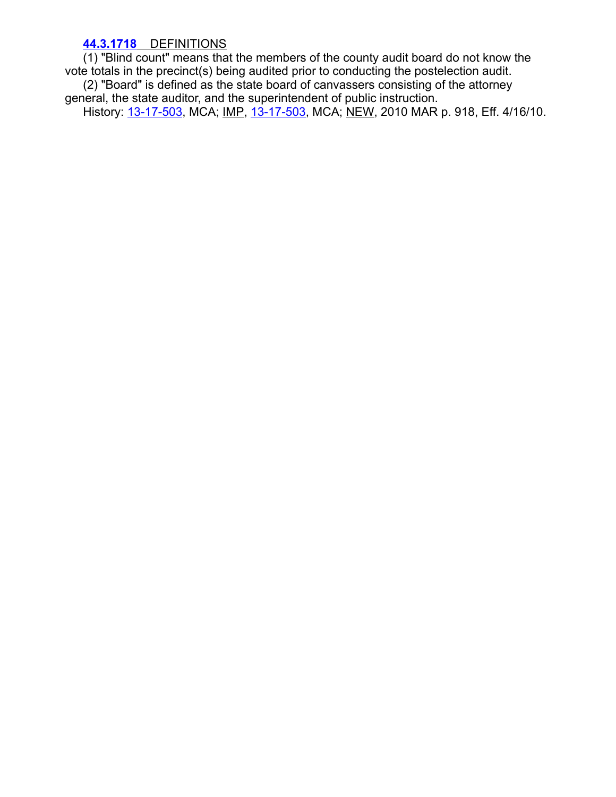## **[44.3.1718](https://rules.mt.gov/gateway/ruleno.asp?RN=44%2E3%2E1718)** DEFINITIONS

(1) "Blind count" means that the members of the county audit board do not know the vote totals in the precinct(s) being audited prior to conducting the postelection audit. (2) "Board" is defined as the state board of canvassers consisting of the attorney general, the state auditor, and the superintendent of public instruction. History: [13-17-503](http://leg.mt.gov/bills/mca/title_0130/chapter_0170/part_0050/section_0030/0130-0170-0050-0030.html), MCA; IMP, 13-17-503, MCA; NEW, 2010 MAR p. 918, Eff. 4/16/10.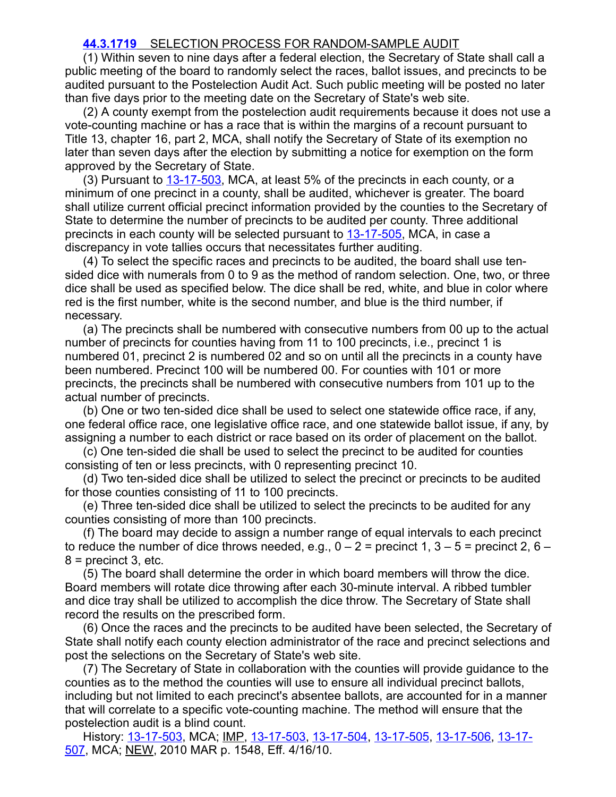## **[44.3.1719](https://rules.mt.gov/gateway/ruleno.asp?RN=44%2E3%2E1719)** SELECTION PROCESS FOR RANDOM-SAMPLE AUDIT

(1) Within seven to nine days after a federal election, the Secretary of State shall call a public meeting of the board to randomly select the races, ballot issues, and precincts to be audited pursuant to the Postelection Audit Act. Such public meeting will be posted no later than five days prior to the meeting date on the Secretary of State's web site.

(2) A county exempt from the postelection audit requirements because it does not use a vote-counting machine or has a race that is within the margins of a recount pursuant to Title 13, chapter 16, part 2, MCA, shall notify the Secretary of State of its exemption no later than seven days after the election by submitting a notice for exemption on the form approved by the Secretary of State.

(3) Pursuant to  $13-17-503$ , MCA, at least 5% of the precincts in each county, or a minimum of one precinct in a county, shall be audited, whichever is greater. The board shall utilize current official precinct information provided by the counties to the Secretary of State to determine the number of precincts to be audited per county. Three additional precincts in each county will be selected pursuant to [13-17-505,](http://leg.mt.gov/bills/mca/title_0130/chapter_0170/part_0050/section_0050/0130-0170-0050-0050.html) MCA, in case a discrepancy in vote tallies occurs that necessitates further auditing.

(4) To select the specific races and precincts to be audited, the board shall use tensided dice with numerals from 0 to 9 as the method of random selection. One, two, or three dice shall be used as specified below. The dice shall be red, white, and blue in color where red is the first number, white is the second number, and blue is the third number, if necessary.

(a) The precincts shall be numbered with consecutive numbers from 00 up to the actual number of precincts for counties having from 11 to 100 precincts, i.e., precinct 1 is numbered 01, precinct 2 is numbered 02 and so on until all the precincts in a county have been numbered. Precinct 100 will be numbered 00. For counties with 101 or more precincts, the precincts shall be numbered with consecutive numbers from 101 up to the actual number of precincts.

(b) One or two ten-sided dice shall be used to select one statewide office race, if any, one federal office race, one legislative office race, and one statewide ballot issue, if any, by assigning a number to each district or race based on its order of placement on the ballot.

(c) One ten-sided die shall be used to select the precinct to be audited for counties consisting of ten or less precincts, with 0 representing precinct 10.

(d) Two ten-sided dice shall be utilized to select the precinct or precincts to be audited for those counties consisting of 11 to 100 precincts.

(e) Three ten-sided dice shall be utilized to select the precincts to be audited for any counties consisting of more than 100 precincts.

(f) The board may decide to assign a number range of equal intervals to each precinct to reduce the number of dice throws needed, e.g.,  $0 - 2 =$  precinct 1,  $3 - 5 =$  precinct 2,  $6 8$  = precinct 3, etc.

(5) The board shall determine the order in which board members will throw the dice. Board members will rotate dice throwing after each 30-minute interval. A ribbed tumbler and dice tray shall be utilized to accomplish the dice throw. The Secretary of State shall record the results on the prescribed form.

(6) Once the races and the precincts to be audited have been selected, the Secretary of State shall notify each county election administrator of the race and precinct selections and post the selections on the Secretary of State's web site.

(7) The Secretary of State in collaboration with the counties will provide guidance to the counties as to the method the counties will use to ensure all individual precinct ballots, including but not limited to each precinct's absentee ballots, are accounted for in a manner that will correlate to a specific vote-counting machine. The method will ensure that the postelection audit is a blind count.

[History: 13-17-503, MCA; IMP, 13-17-503, 13-17-504, 13-17-505, 13-17-506, 13-17-](http://leg.mt.gov/bills/mca/title_0130/chapter_0170/part_0050/section_0070/0130-0170-0050-0070.html) 507, MCA; NEW, 2010 MAR p. 1548, Eff. 4/16/10.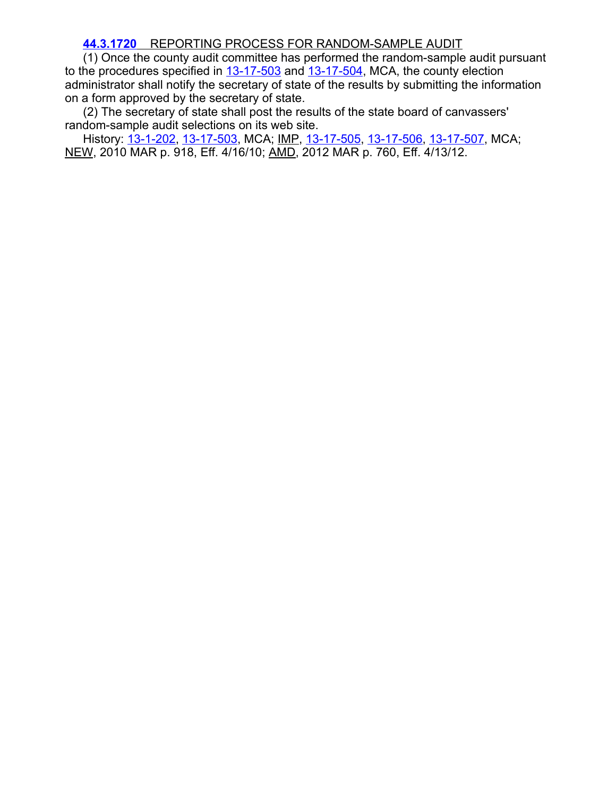## **[44.3.1720](https://rules.mt.gov/gateway/ruleno.asp?RN=44%2E3%2E1720)** REPORTING PROCESS FOR RANDOM-SAMPLE AUDIT

(1) Once the county audit committee has performed the random-sample audit pursuant to the procedures specified in  $13-17-503$  and  $13-17-504$ , MCA, the county election administrator shall notify the secretary of state of the results by submitting the information on a form approved by the secretary of state.

(2) The secretary of state shall post the results of the state board of canvassers' random-sample audit selections on its web site.

History: [13-1-202](http://leg.mt.gov/bills/mca/title_0130/chapter_0010/part_0020/section_0020/0130-0010-0020-0020.html), [13-17-503](http://leg.mt.gov/bills/mca/title_0130/chapter_0170/part_0050/section_0030/0130-0170-0050-0030.html), MCA; IMP, [13-17-505,](http://leg.mt.gov/bills/mca/title_0130/chapter_0170/part_0050/section_0050/0130-0170-0050-0050.html) [13-17-506](http://leg.mt.gov/bills/mca/title_0130/chapter_0170/part_0050/section_0060/0130-0170-0050-0060.html), [13-17-507](http://leg.mt.gov/bills/mca/title_0130/chapter_0170/part_0050/section_0070/0130-0170-0050-0070.html), MCA; NEW, 2010 MAR p. 918, Eff. 4/16/10; AMD, 2012 MAR p. 760, Eff. 4/13/12.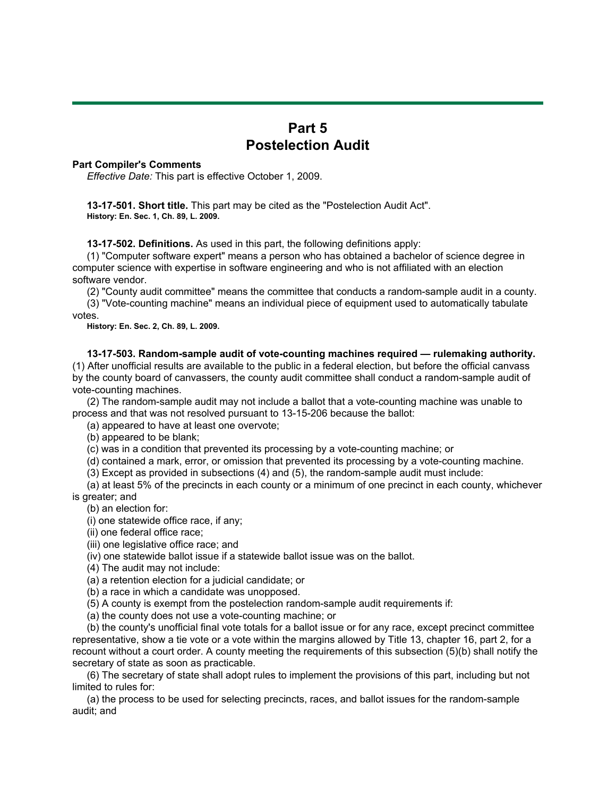# **Part 5 Postelection Audit**

#### **Part Compiler's Comments**

*Effective Date:* This part is effective October 1, 2009.

 **13-17-501. Short title.** This part may be cited as the "Postelection Audit Act".  **History: En. Sec. 1, Ch. 89, L. 2009.**

**13-17-502. Definitions.** As used in this part, the following definitions apply:

 (1) "Computer software expert" means a person who has obtained a bachelor of science degree in computer science with expertise in software engineering and who is not affiliated with an election software vendor.

(2) "County audit committee" means the committee that conducts a random-sample audit in a county.

 (3) "Vote-counting machine" means an individual piece of equipment used to automatically tabulate votes.

 **History: En. Sec. 2, Ch. 89, L. 2009.**

 **13-17-503. Random-sample audit of vote-counting machines required — rulemaking authority.** (1) After unofficial results are available to the public in a federal election, but before the official canvass by the county board of canvassers, the county audit committee shall conduct a random-sample audit of vote-counting machines.

 (2) The random-sample audit may not include a ballot that a vote-counting machine was unable to process and that was not resolved pursuant to 13-15-206 because the ballot:

(a) appeared to have at least one overvote;

(b) appeared to be blank;

(c) was in a condition that prevented its processing by a vote-counting machine; or

(d) contained a mark, error, or omission that prevented its processing by a vote-counting machine.

(3) Except as provided in subsections (4) and (5), the random-sample audit must include:

 (a) at least 5% of the precincts in each county or a minimum of one precinct in each county, whichever is greater; and

(b) an election for:

(i) one statewide office race, if any;

(ii) one federal office race;

(iii) one legislative office race; and

(iv) one statewide ballot issue if a statewide ballot issue was on the ballot.

(4) The audit may not include:

(a) a retention election for a judicial candidate; or

(b) a race in which a candidate was unopposed.

(5) A county is exempt from the postelection random-sample audit requirements if:

(a) the county does not use a vote-counting machine; or

 (b) the county's unofficial final vote totals for a ballot issue or for any race, except precinct committee representative, show a tie vote or a vote within the margins allowed by Title 13, chapter 16, part 2, for a recount without a court order. A county meeting the requirements of this subsection (5)(b) shall notify the secretary of state as soon as practicable.

 (6) The secretary of state shall adopt rules to implement the provisions of this part, including but not limited to rules for:

 (a) the process to be used for selecting precincts, races, and ballot issues for the random-sample audit; and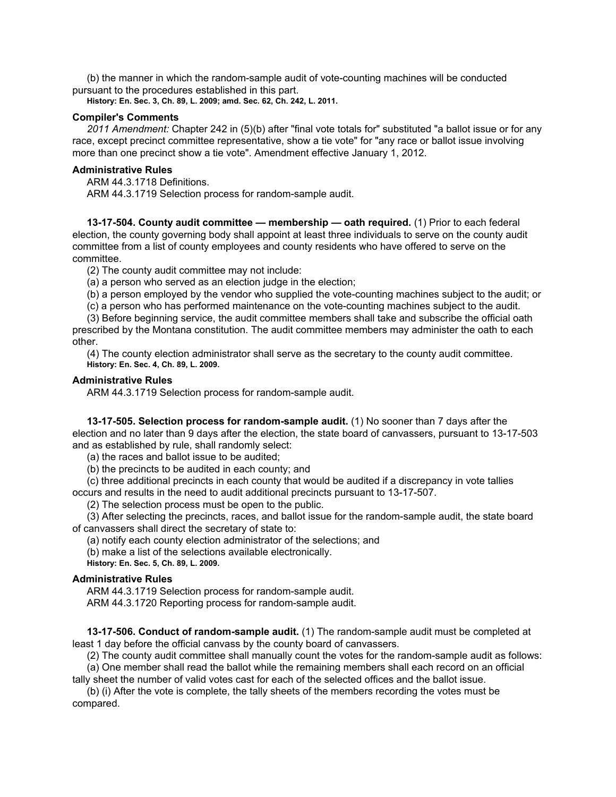(b) the manner in which the random-sample audit of vote-counting machines will be conducted pursuant to the procedures established in this part.

 **History: En. Sec. 3, Ch. 89, L. 2009; amd. Sec. 62, Ch. 242, L. 2011.**

### **Compiler's Comments**

 *2011 Amendment:* Chapter 242 in (5)(b) after "final vote totals for" substituted "a ballot issue or for any race, except precinct committee representative, show a tie vote" for "any race or ballot issue involving more than one precinct show a tie vote". Amendment effective January 1, 2012.

#### **Administrative Rules**

 ARM 44.3.1718 Definitions. ARM 44.3.1719 Selection process for random-sample audit.

 **13-17-504. County audit committee — membership — oath required.** (1) Prior to each federal election, the county governing body shall appoint at least three individuals to serve on the county audit committee from a list of county employees and county residents who have offered to serve on the committee.

(2) The county audit committee may not include:

(a) a person who served as an election judge in the election;

(b) a person employed by the vendor who supplied the vote-counting machines subject to the audit; or

(c) a person who has performed maintenance on the vote-counting machines subject to the audit.

 (3) Before beginning service, the audit committee members shall take and subscribe the official oath prescribed by the Montana constitution. The audit committee members may administer the oath to each other.

 (4) The county election administrator shall serve as the secretary to the county audit committee.  **History: En. Sec. 4, Ch. 89, L. 2009.**

#### **Administrative Rules**

ARM 44.3.1719 Selection process for random-sample audit.

 **13-17-505. Selection process for random-sample audit.** (1) No sooner than 7 days after the election and no later than 9 days after the election, the state board of canvassers, pursuant to 13-17-503 and as established by rule, shall randomly select:

(a) the races and ballot issue to be audited;

(b) the precincts to be audited in each county; and

 (c) three additional precincts in each county that would be audited if a discrepancy in vote tallies occurs and results in the need to audit additional precincts pursuant to 13-17-507.

(2) The selection process must be open to the public.

 (3) After selecting the precincts, races, and ballot issue for the random-sample audit, the state board of canvassers shall direct the secretary of state to:

(a) notify each county election administrator of the selections; and

(b) make a list of the selections available electronically.

 **History: En. Sec. 5, Ch. 89, L. 2009.**

### **Administrative Rules**

 ARM 44.3.1719 Selection process for random-sample audit. ARM 44.3.1720 Reporting process for random-sample audit.

 **13-17-506. Conduct of random-sample audit.** (1) The random-sample audit must be completed at least 1 day before the official canvass by the county board of canvassers.

 (2) The county audit committee shall manually count the votes for the random-sample audit as follows: (a) One member shall read the ballot while the remaining members shall each record on an official

tally sheet the number of valid votes cast for each of the selected offices and the ballot issue.

 (b) (i) After the vote is complete, the tally sheets of the members recording the votes must be compared.